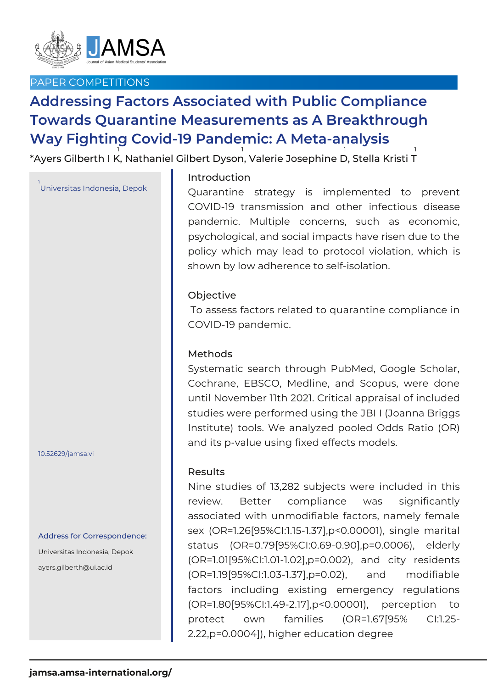

# PAPER COMPETITIONS

# **Addressing Factors Associated with Public Compliance Towards Quarantine Measurements as A Breakthrough Way Fighting Covid-19 Pandemic: A Meta-analysis**

\*Ayers Gilberth I K, Nathaniel Gilbert Dyson, Valerie Josephine D, Stella Kristi T 1 1 1 1

# <sub>ı</sub><br>Universitas Indonesia, Depok

#### 10.52629/jamsa.vi

#### Address for Correspondence:

Universitas Indonesia, Depok ayers.gilberth@ui.ac.id

## Introduction

Quarantine strategy is implemented to prevent COVID-19 transmission and other infectious disease pandemic. Multiple concerns, such as economic, psychological, and social impacts have risen due to the policy which may lead to protocol violation, which is shown by low adherence to self-isolation.

### Objective

To assess factors related to quarantine compliance in COVID-19 pandemic.

### Methods

Systematic search through PubMed, Google Scholar, Cochrane, EBSCO, Medline, and Scopus, were done until November 11th 2021. Critical appraisal of included studies were performed using the JBI I (Joanna Briggs Institute) tools. We analyzed pooled Odds Ratio (OR) and its p-value using fixed effects models.

#### Results

Nine studies of 13,282 subjects were included in this review. Better compliance was significantly associated with unmodifiable factors, namely female sex (OR=1.26[95%CI:1.15-1.37],p<0.00001), single marital status (OR=0.79[95%CI:0.69-0.90],p=0.0006), elderly (OR=1.01[95%CI:1.01-1.02],p=0.002), and city residents (OR=1.19[95%CI:1.03-1.37],p=0.02), and modifiable factors including existing emergency regulations (OR=1.80[95%CI:1.49-2.17],p<0.00001), perception to protect own families (OR=1.67[95% CI:1.25- 2.22,p=0.0004]), higher education degree